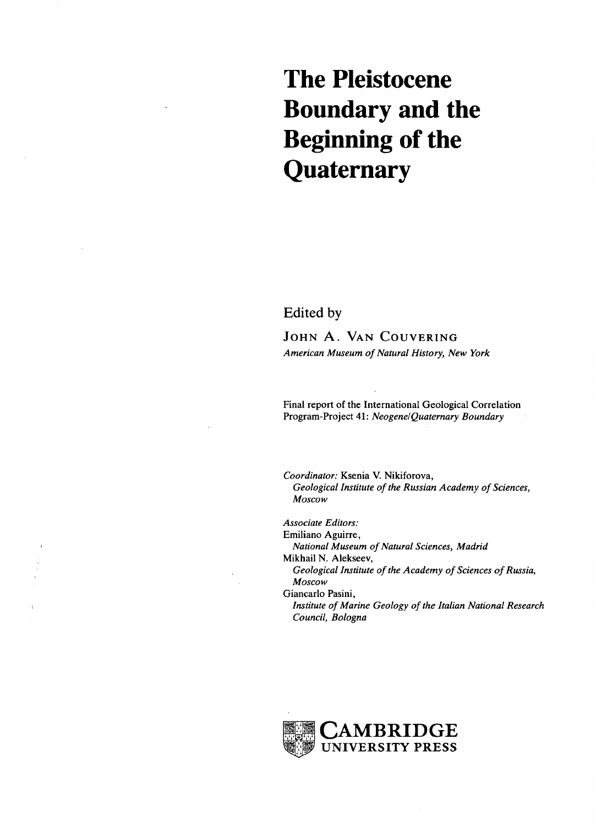# **The Pleistocene Boundary and the Beginning of the Quaternary**

Edited by

JOHN A. VAN COUVERING *American Museum of Natural History, New York*

Final report of the International Geological Correlation Program-Project 41: *Neogene/Quaternary Boundary*

*Coordinator:* Ksenia V. Nikiforova, *Geological Institute of the Russian Academy of Sciences, Moscow*

*Associate Editors:* Emiliano Aguirre,

*National Museum of Natural Sciences, Madrid*

Mikhail N. Alekseev,

*Geological Institute of the Academy of Sciences of Russia, Moscow*

Giancarlo Pasini,

*Institute of Marine Geology of the Italian National Research Council, Bologna*

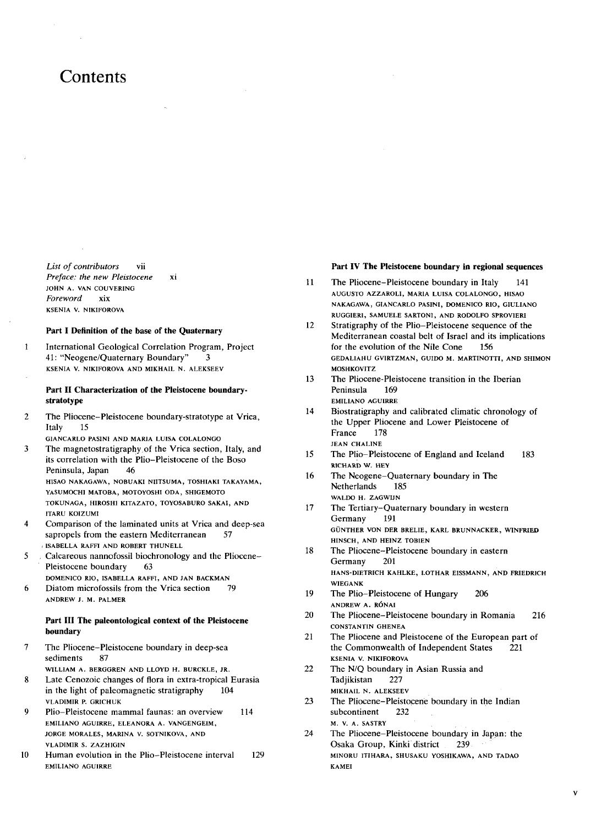## **Contents**

*List of contributors* vii *Preface: the new Pleistocene* xi **JOHN A. VAN COUVERING** *Foreword* xix **KSEN1A V. NIKIFOROVA**

#### **Part I Definition of the base of the Quaternary**

International Geological Correlation Program, Project  $\mathbf{1}$ 41: "Neogene/Quaternary Boundary" 3 **KSENIA V. NIKIFOROVA AND MIKHAIL N. ALEKSEEV**

#### **Part II Characterization of the Pleistocene boundarystratotype**

 $\mathcal{D}$ The Pliocene-Pleistocene boundary-stratotype at Vrica, Italy 15

**GIANCARLO PASINI AND MARIA LUISA COLALONGO**

The magnetostratigraphy of the Vrica section, Italy, and  $\mathbf{a}$ its correlation with the Plio-Pleistocene of the Boso Peninsula, Japan 46 **HISAO NAKAGAWA, NOBUAKI NIITSUMA, TOSHIAKI TAKAYAMA, YASUMOCHI MATOBA, MOTOYOSHI ODA, SHIGEMOTO TOKUNAGA, H1ROSH1 KITAZATO, TOYOSABURO SAKAI, AND**

**ITARU KOIZUMI** Comparison of the laminated units at Vrica and deep-sea

- $\overline{\mathbf{4}}$ sapropels from the eastern Mediterranean 57 **, ISABELLA RAFFI AND ROBERT THUNELL**
- Calcareous nannofossil biochronology and the Pliocene-5 Pleistocene boundary 63
- **DOMENICO RIO, ISABELLA RAFFI, AND JAN BACKMAN** 6 Diatom microfossils from the Vrica section 79 **ANDREW J. M. PALMER**

### **Part III The paleontological context of the Pleistocene boundary**

- $\overline{7}$ The Pliocene-Pleistocene boundary in deep-sea sediments 87
- **WILLIAM A. BERGGREN AND LLOYD H. BURCKLE, JR.**
- Late Cenozoic changes of flora in extra-tropical Eurasia 8 in the light of paleomagnetic stratigraphy 104 **VLADIMIR P. GRICHUK**
- $\mathbf Q$ Plio-Pleistocene mammal faunas: an overview 114 **EMILIANO AGUIRRE, ELEANORA A. VANGENGEIM, JORGE MORALES, MARINA V. SOTNIKOVA, AND VLADIMIR S. ZAZHIG1N**
- **10** Human evolution in the Plio-Pleistocene interval 129 **EMILIANO AGUIRRE**

#### **Part IV The Pleistocene boundary in regional sequences**

- 11 The Pliocene-Pleistocene boundary in Italy 141 **AUGUSTO AZZAROLI, MARIA LUISA COLALONGO, HISAO NAKAGAWA, GIANCARLO PASINI, DOMENICO RIO, GIULIANO RUGGIERI, SAMUELE SARTONI, AND RODOLFO SPROVIERI**
- 12 Stratigraphy of the Plio-Pleistocene sequence of the Mediterranean coastal belt of Israel and its implications for the evolution of the Nile Cone 156 **GEDALIAHU GVIRTZMAN, GUIDO M. MARTINOTTI, AND SHIMON MOSHKOVITZ**
- 13 The Pliocene-Pleistocene transition in the Iberian Peninsula 169 **EMILIANO AGUIRRE**
- 14 Biostratigraphy and calibrated climatic chronology of the Upper Pliocene and Lower Pleistocene of France 178 **JEAN CHALINE**
- 15 The Plio-Pleistocene of England and Iceland 183 **RICHARD W. HEY**
- 16 The Neogene-Quaternary boundary in The Netherlands 185 **WALDO H. ZAGWIJN**
- 17 The Tertiary-Quaternary boundary in western Germany 191 **GUNTHER VON DER BRELIE, KARL BRUNNACKER, WINFRIED HINSCH, AND HEINZ TOBIEN**
- 18 The Pliocene-Pleistocene boundary in eastern Germany 201 **HANS-DIETRICH KAHLKE, LOTHAR EISSMANN, AND FRIEDRICH WIEGANK**
- 19 The Plio-Pleistocene of Hungary 206 **ANDREW A. R6NAI**
- 20 The Pliocene-Pleistocene boundary in Romania 216 **CONSTANTIN GHENEA**
- 21 The Pliocene and Pleistocene of the European part of the Commonwealth of Independent States 221 **KSENIA V. NIKIFOROVA**
- 22 The N/Q boundary in Asian Russia and Tadjikistan 227 **MIKHAIL N. ALEKSEEV**
- 23 The Pliocene-Pleistocene boundary in the Indian subcontinent 232 **M. V. A. SASTRY**
- 24 The Pliocene—Pleistocene boundary in Japan: the Osaka Group, Kinki district 239 **MINORU ITIHARA, SHUSAKU YOSHIKAWA, AND TADAO KAMEI**